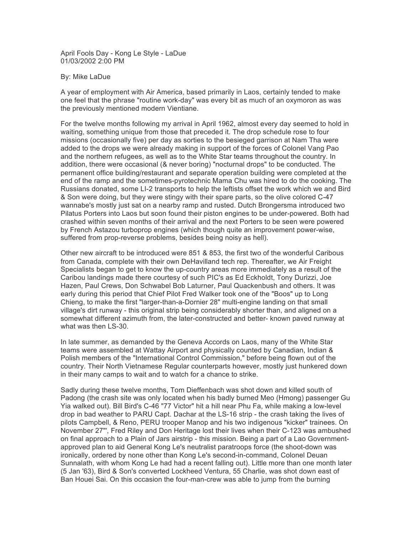April Fools Day - Kong Le Style - LaDue 01/03/2002 2:00 PM

## By: Mike LaDue

A year of employment with Air America, based primarily in Laos, certainly tended to make one feel that the phrase "routine work-day" was every bit as much of an oxymoron as was the previously mentioned modern Vientiane.

For the twelve months following my arrival in April 1962, almost every day seemed to hold in waiting, something unique from those that preceded it. The drop schedule rose to four missions (occasionally five) per day as sorties to the besieged garrison at Nam Tha were added to the drops we were already making in support of the forces of Colonel Vang Pao and the northern refugees, as well as to the White Star teams throughout the country. In addition, there were occasional (& never boring) "nocturnal drops" to be conducted. The permanent office building/restaurant and separate operation building were completed at the end of the ramp and the sometimes-pyrotechnic Mama Chu was hired to do the cooking. The Russians donated, some LI-2 transports to help the leftists offset the work which we and Bird & Son were doing, but they were stingy with their spare parts, so the olive colored C-47 wannabe's mostly just sat on a nearby ramp and rusted. Dutch Brongersma introduced two Pilatus Porters into Laos but soon found their piston engines to be under-powered. Both had crashed within seven months of their arrival and the next Porters to be seen were powered by French Astazou turboprop engines (which though quite an improvement power-wise, suffered from prop-reverse problems, besides being noisy as hell).

Other new aircraft to be introduced were 851 & 853, the first two of the wonderful Caribous from Canada, complete with their own DeHavilland tech rep. Thereafter, we Air Freight Specialists began to get to know the up-country areas more immediately as a result of the Caribou landings made there courtesy of such PIC's as Ed Eckholdt, Tony Durizzi, Joe Hazen, Paul Crews, Don Schwabel Bob Laturner, Paul Quackenbush and others. It was early during this period that Chief Pilot Fred Walker took one of the "Boos" up to Long Chieng, to make the first "larger-than-a-Dornier 28" multi-engine landing on that small village's dirt runway - this original strip being considerably shorter than, and aligned on a somewhat different azimuth from, the later-constructed and better- known paved runway at what was then LS-30.

In late summer, as demanded by the Geneva Accords on Laos, many of the White Star teams were assembled at Wattay Airport and physically counted by Canadian, Indian & Polish members of the "International Control Commission," before being flown out of the country. Their North Vietnamese Regular counterparts however, mostly just hunkered down in their many camps to wait and to watch for a chance to strike.

Sadly during these twelve months, Tom Dieffenbach was shot down and killed south of Padong (the crash site was only located when his badly burned Meo (Hmong) passenger Gu Yia walked out). Bill Bird's C-46 "77 Victor" hit a hill near Phu Fa, while making a low-level drop in bad weather to PARU Capt. Dachar at the LS-16 strip - the crash taking the lives of pilots Campbell, & Reno, PERU trooper Manop and his two indigenous "kicker" trainees. On November 27"', Fred Riley and Don Heritage lost their lives when their C-123 was ambushed on final approach to a Plain of Jars airstrip - this mission. Being a part of a Lao Governmentapproved plan to aid General Kong Le's neutralist paratroops force (the shoot-down was ironically, ordered by none other than Kong Le's second-in-command, Colonel Deuan Sunnalath, with whom Kong Le had had a recent falling out). Little more than one month later (5 Jan '63), Bird & Son's converted Lockheed Ventura, 55 Charlie, was shot down east of Ban Houei Sai. On this occasion the four-man-crew was able to jump from the burning